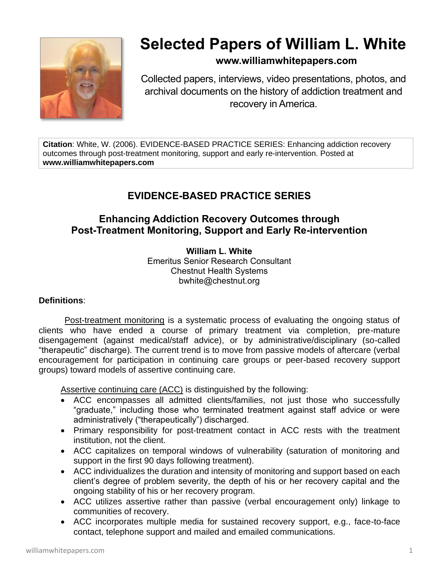

# **Selected Papers of William L. White**

## **www.williamwhitepapers.com**

Collected papers, interviews, video presentations, photos, and archival documents on the history of addiction treatment and recovery in America.

**Citation**: White, W. (2006). EVIDENCE-BASED PRACTICE SERIES: Enhancing addiction recovery outcomes through post-treatment monitoring, support and early re-intervention. Posted at **www.williamwhitepapers.com**

# **EVIDENCE-BASED PRACTICE SERIES**

## **Enhancing Addiction Recovery Outcomes through Post-Treatment Monitoring, Support and Early Re-intervention**

**William L. White** Emeritus Senior Research Consultant Chestnut Health Systems bwhite@chestnut.org

#### **Definitions**:

Post-treatment monitoring is a systematic process of evaluating the ongoing status of clients who have ended a course of primary treatment via completion, pre-mature disengagement (against medical/staff advice), or by administrative/disciplinary (so-called "therapeutic" discharge). The current trend is to move from passive models of aftercare (verbal encouragement for participation in continuing care groups or peer-based recovery support groups) toward models of assertive continuing care.

Assertive continuing care (ACC) is distinguished by the following:

- ACC encompasses all admitted clients/families, not just those who successfully "graduate," including those who terminated treatment against staff advice or were administratively ("therapeutically") discharged.
- Primary responsibility for post-treatment contact in ACC rests with the treatment institution, not the client.
- ACC capitalizes on temporal windows of vulnerability (saturation of monitoring and support in the first 90 days following treatment).
- ACC individualizes the duration and intensity of monitoring and support based on each client's degree of problem severity, the depth of his or her recovery capital and the ongoing stability of his or her recovery program.
- ACC utilizes assertive rather than passive (verbal encouragement only) linkage to communities of recovery.
- ACC incorporates multiple media for sustained recovery support, e.g., face-to-face contact, telephone support and mailed and emailed communications.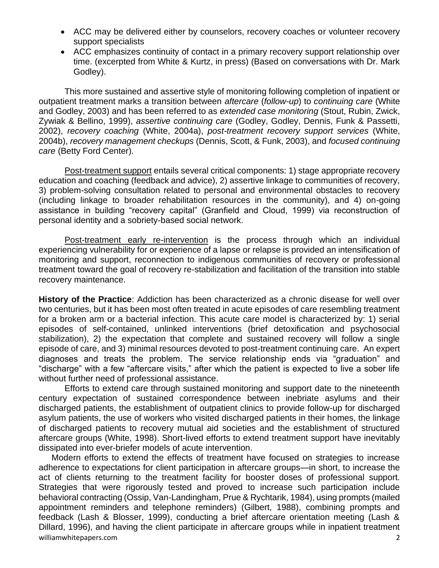- ACC may be delivered either by counselors, recovery coaches or volunteer recovery support specialists
- ACC emphasizes continuity of contact in a primary recovery support relationship over time. (excerpted from White & Kurtz, in press) (Based on conversations with Dr. Mark Godley).

This more sustained and assertive style of monitoring following completion of inpatient or outpatient treatment marks a transition between *aftercare* (*follow-up*) to *continuing care* (White and Godley, 2003) and has been referred to as *extended case monitoring* (Stout, Rubin, Zwick, Zywiak & Bellino, 1999), *assertive continuing care* (Godley, Godley, Dennis, Funk & Passetti, 2002), *recovery coaching* (White, 2004a), *post-treatment recovery support services* (White, 2004b), *recovery management checkups* (Dennis, Scott, & Funk, 2003), and *focused continuing care* (Betty Ford Center).

Post-treatment support entails several critical components: 1) stage appropriate recovery education and coaching (feedback and advice), 2) assertive linkage to communities of recovery, 3) problem-solving consultation related to personal and environmental obstacles to recovery (including linkage to broader rehabilitation resources in the community), and 4) on-going assistance in building "recovery capital" (Granfield and Cloud, 1999) via reconstruction of personal identity and a sobriety-based social network.

Post-treatment early re-intervention is the process through which an individual experiencing vulnerability for or experience of a lapse or relapse is provided an intensification of monitoring and support, reconnection to indigenous communities of recovery or professional treatment toward the goal of recovery re-stabilization and facilitation of the transition into stable recovery maintenance.

**History of the Practice**: Addiction has been characterized as a chronic disease for well over two centuries, but it has been most often treated in acute episodes of care resembling treatment for a broken arm or a bacterial infection. This acute care model is characterized by: 1) serial episodes of self-contained, unlinked interventions (brief detoxification and psychosocial stabilization), 2) the expectation that complete and sustained recovery will follow a single episode of care, and 3) minimal resources devoted to post-treatment continuing care. An expert diagnoses and treats the problem. The service relationship ends via "graduation" and "discharge" with a few "aftercare visits," after which the patient is expected to live a sober life without further need of professional assistance.

Efforts to extend care through sustained monitoring and support date to the nineteenth century expectation of sustained correspondence between inebriate asylums and their discharged patients, the establishment of outpatient clinics to provide follow-up for discharged asylum patients, the use of workers who visited discharged patients in their homes, the linkage of discharged patients to recovery mutual aid societies and the establishment of structured aftercare groups (White, 1998). Short-lived efforts to extend treatment support have inevitably dissipated into ever-briefer models of acute intervention.

williamwhitepapers.com 2 Modern efforts to extend the effects of treatment have focused on strategies to increase adherence to expectations for client participation in aftercare groups—in short, to increase the act of clients returning to the treatment facility for booster doses of professional support. Strategies that were rigorously tested and proved to increase such participation include behavioral contracting (Ossip, Van-Landingham, Prue & Rychtarik, 1984), using prompts (mailed appointment reminders and telephone reminders) (Gilbert, 1988), combining prompts and feedback (Lash & Blosser, 1999), conducting a brief aftercare orientation meeting (Lash & Dillard, 1996), and having the client participate in aftercare groups while in inpatient treatment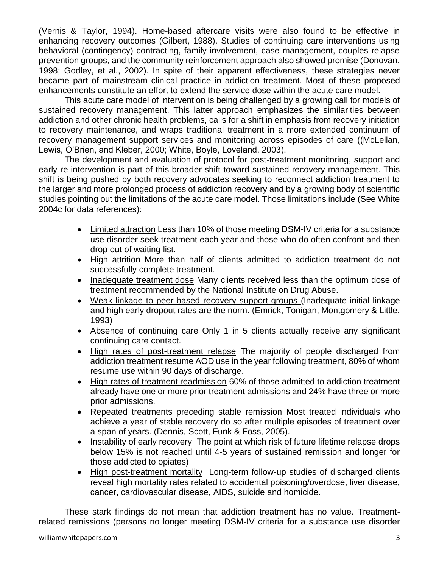(Vernis & Taylor, 1994). Home-based aftercare visits were also found to be effective in enhancing recovery outcomes (Gilbert, 1988). Studies of continuing care interventions using behavioral (contingency) contracting, family involvement, case management, couples relapse prevention groups, and the community reinforcement approach also showed promise (Donovan, 1998; Godley, et al., 2002). In spite of their apparent effectiveness, these strategies never became part of mainstream clinical practice in addiction treatment. Most of these proposed enhancements constitute an effort to extend the service dose within the acute care model.

This acute care model of intervention is being challenged by a growing call for models of sustained recovery management. This latter approach emphasizes the similarities between addiction and other chronic health problems, calls for a shift in emphasis from recovery initiation to recovery maintenance, and wraps traditional treatment in a more extended continuum of recovery management support services and monitoring across episodes of care ((McLellan, Lewis, O'Brien, and Kleber, 2000; White, Boyle, Loveland, 2003).

The development and evaluation of protocol for post-treatment monitoring, support and early re-intervention is part of this broader shift toward sustained recovery management. This shift is being pushed by both recovery advocates seeking to reconnect addiction treatment to the larger and more prolonged process of addiction recovery and by a growing body of scientific studies pointing out the limitations of the acute care model. Those limitations include (See White 2004c for data references):

- Limited attraction Less than 10% of those meeting DSM-IV criteria for a substance use disorder seek treatment each year and those who do often confront and then drop out of waiting list.
- High attrition More than half of clients admitted to addiction treatment do not successfully complete treatment.
- Inadequate treatment dose Many clients received less than the optimum dose of treatment recommended by the National Institute on Drug Abuse.
- Weak linkage to peer-based recovery support groups (Inadequate initial linkage and high early dropout rates are the norm. (Emrick, Tonigan, Montgomery & Little, 1993)
- Absence of continuing care Only 1 in 5 clients actually receive any significant continuing care contact.
- High rates of post-treatment relapse The majority of people discharged from addiction treatment resume AOD use in the year following treatment, 80% of whom resume use within 90 days of discharge.
- High rates of treatment readmission 60% of those admitted to addiction treatment already have one or more prior treatment admissions and 24% have three or more prior admissions.
- Repeated treatments preceding stable remission Most treated individuals who achieve a year of stable recovery do so after multiple episodes of treatment over a span of years. (Dennis, Scott, Funk & Foss, 2005).
- Instability of early recovery The point at which risk of future lifetime relapse drops below 15% is not reached until 4-5 years of sustained remission and longer for those addicted to opiates)
- High post-treatment mortality Long-term follow-up studies of discharged clients reveal high mortality rates related to accidental poisoning/overdose, liver disease, cancer, cardiovascular disease, AIDS, suicide and homicide.

These stark findings do not mean that addiction treatment has no value. Treatmentrelated remissions (persons no longer meeting DSM-IV criteria for a substance use disorder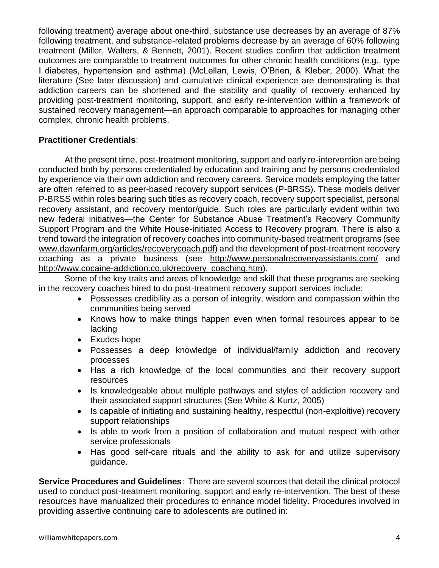following treatment) average about one-third, substance use decreases by an average of 87% following treatment, and substance-related problems decrease by an average of 60% following treatment (Miller, Walters, & Bennett, 2001). Recent studies confirm that addiction treatment outcomes are comparable to treatment outcomes for other chronic health conditions (e.g., type I diabetes, hypertension and asthma) (McLellan, Lewis, O'Brien, & Kleber, 2000). What the literature (See later discussion) and cumulative clinical experience are demonstrating is that addiction careers can be shortened and the stability and quality of recovery enhanced by providing post-treatment monitoring, support, and early re-intervention within a framework of sustained recovery management—an approach comparable to approaches for managing other complex, chronic health problems.

#### **Practitioner Credentials**:

At the present time, post-treatment monitoring, support and early re-intervention are being conducted both by persons credentialed by education and training and by persons credentialed by experience via their own addiction and recovery careers. Service models employing the latter are often referred to as peer-based recovery support services (P-BRSS). These models deliver P-BRSS within roles bearing such titles as recovery coach, recovery support specialist, personal recovery assistant, and recovery mentor/guide. Such roles are particularly evident within two new federal initiatives—the Center for Substance Abuse Treatment's Recovery Community Support Program and the White House-initiated Access to Recovery program. There is also a trend toward the integration of recovery coaches into community-based treatment programs (see [www.dawnfarm.org/articles/recoverycoach.pdf\)](http://www.dawnfarm.org/articles/recoverycoach.pdf) and the development of post-treatment recovery coaching as a private business (see <http://www.personalrecoveryassistants.com/> and [http://www.cocaine-addiction.co.uk/recovery\\_coaching.htm\)](http://www.cocaine-addiction.co.uk/recovery_coaching.htm).

Some of the key traits and areas of knowledge and skill that these programs are seeking in the recovery coaches hired to do post-treatment recovery support services include:

- Possesses credibility as a person of integrity, wisdom and compassion within the communities being served
- Knows how to make things happen even when formal resources appear to be lacking
- Exudes hope
- Possesses a deep knowledge of individual/family addiction and recovery processes
- Has a rich knowledge of the local communities and their recovery support resources
- Is knowledgeable about multiple pathways and styles of addiction recovery and their associated support structures (See White & Kurtz, 2005)
- Is capable of initiating and sustaining healthy, respectful (non-exploitive) recovery support relationships
- Is able to work from a position of collaboration and mutual respect with other service professionals
- Has good self-care rituals and the ability to ask for and utilize supervisory guidance.

**Service Procedures and Guidelines**: There are several sources that detail the clinical protocol used to conduct post-treatment monitoring, support and early re-intervention. The best of these resources have manualized their procedures to enhance model fidelity. Procedures involved in providing assertive continuing care to adolescents are outlined in: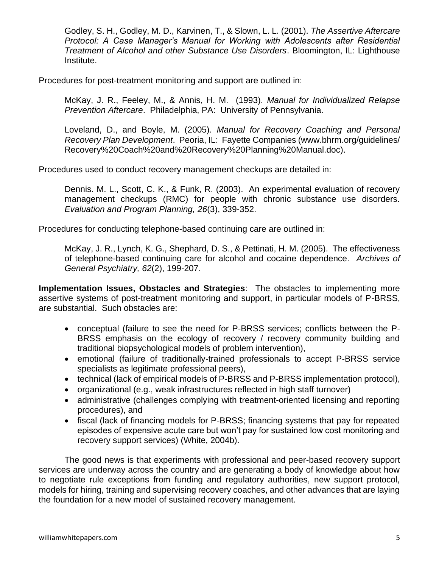Godley, S. H., Godley, M. D., Karvinen, T., & Slown, L. L. (2001). *The Assertive Aftercare Protocol: A Case Manager's Manual for Working with Adolescents after Residential Treatment of Alcohol and other Substance Use Disorders*. Bloomington, IL: Lighthouse Institute.

Procedures for post-treatment monitoring and support are outlined in:

McKay, J. R., Feeley, M., & Annis, H. M. (1993). *Manual for Individualized Relapse Prevention Aftercare*. Philadelphia, PA: University of Pennsylvania.

Loveland, D., and Boyle, M. (2005). *Manual for Recovery Coaching and Personal Recovery Plan Development*. Peoria, IL: Fayette Companies (www.bhrm.org/guidelines/ Recovery%20Coach%20and%20Recovery%20Planning%20Manual.doc).

Procedures used to conduct recovery management checkups are detailed in:

Dennis. M. L., Scott, C. K., & Funk, R. (2003). An experimental evaluation of recovery management checkups (RMC) for people with chronic substance use disorders. *Evaluation and Program Planning, 26*(3), 339-352.

Procedures for conducting telephone-based continuing care are outlined in:

McKay, J. R., Lynch, K. G., Shephard, D. S., & Pettinati, H. M. (2005). The effectiveness of telephone-based continuing care for alcohol and cocaine dependence. *Archives of General Psychiatry, 62*(2), 199-207.

**Implementation Issues, Obstacles and Strategies**: The obstacles to implementing more assertive systems of post-treatment monitoring and support, in particular models of P-BRSS, are substantial. Such obstacles are:

- conceptual (failure to see the need for P-BRSS services; conflicts between the P-BRSS emphasis on the ecology of recovery / recovery community building and traditional biopsychological models of problem intervention),
- emotional (failure of traditionally-trained professionals to accept P-BRSS service specialists as legitimate professional peers),
- technical (lack of empirical models of P-BRSS and P-BRSS implementation protocol),
- organizational (e.g., weak infrastructures reflected in high staff turnover)
- administrative (challenges complying with treatment-oriented licensing and reporting procedures), and
- fiscal (lack of financing models for P-BRSS; financing systems that pay for repeated episodes of expensive acute care but won't pay for sustained low cost monitoring and recovery support services) (White, 2004b).

The good news is that experiments with professional and peer-based recovery support services are underway across the country and are generating a body of knowledge about how to negotiate rule exceptions from funding and regulatory authorities, new support protocol, models for hiring, training and supervising recovery coaches, and other advances that are laying the foundation for a new model of sustained recovery management.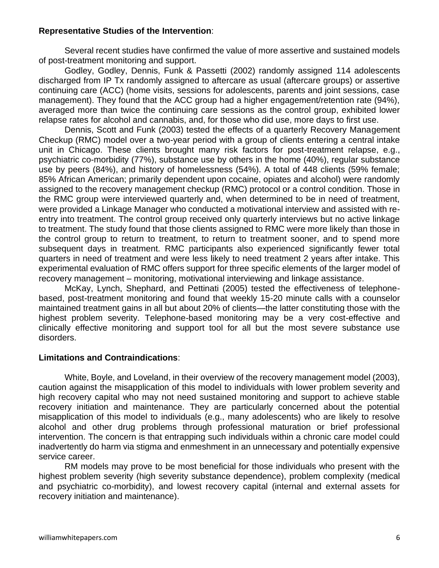#### **Representative Studies of the Intervention**:

Several recent studies have confirmed the value of more assertive and sustained models of post-treatment monitoring and support.

Godley, Godley, Dennis, Funk & Passetti (2002) randomly assigned 114 adolescents discharged from IP Tx randomly assigned to aftercare as usual (aftercare groups) or assertive continuing care (ACC) (home visits, sessions for adolescents, parents and joint sessions, case management). They found that the ACC group had a higher engagement/retention rate (94%), averaged more than twice the continuing care sessions as the control group, exhibited lower relapse rates for alcohol and cannabis, and, for those who did use, more days to first use.

Dennis, Scott and Funk (2003) tested the effects of a quarterly Recovery Management Checkup (RMC) model over a two-year period with a group of clients entering a central intake unit in Chicago. These clients brought many risk factors for post-treatment relapse, e.g., psychiatric co-morbidity (77%), substance use by others in the home (40%), regular substance use by peers (84%), and history of homelessness (54%). A total of 448 clients (59% female; 85% African American; primarily dependent upon cocaine, opiates and alcohol) were randomly assigned to the recovery management checkup (RMC) protocol or a control condition. Those in the RMC group were interviewed quarterly and, when determined to be in need of treatment, were provided a Linkage Manager who conducted a motivational interview and assisted with reentry into treatment. The control group received only quarterly interviews but no active linkage to treatment. The study found that those clients assigned to RMC were more likely than those in the control group to return to treatment, to return to treatment sooner, and to spend more subsequent days in treatment. RMC participants also experienced significantly fewer total quarters in need of treatment and were less likely to need treatment 2 years after intake. This experimental evaluation of RMC offers support for three specific elements of the larger model of recovery management – monitoring, motivational interviewing and linkage assistance.

McKay, Lynch, Shephard, and Pettinati (2005) tested the effectiveness of telephonebased, post-treatment monitoring and found that weekly 15-20 minute calls with a counselor maintained treatment gains in all but about 20% of clients—the latter constituting those with the highest problem severity. Telephone-based monitoring may be a very cost-effective and clinically effective monitoring and support tool for all but the most severe substance use disorders.

#### **Limitations and Contraindications**:

White, Boyle, and Loveland, in their overview of the recovery management model (2003), caution against the misapplication of this model to individuals with lower problem severity and high recovery capital who may not need sustained monitoring and support to achieve stable recovery initiation and maintenance. They are particularly concerned about the potential misapplication of this model to individuals (e.g., many adolescents) who are likely to resolve alcohol and other drug problems through professional maturation or brief professional intervention. The concern is that entrapping such individuals within a chronic care model could inadvertently do harm via stigma and enmeshment in an unnecessary and potentially expensive service career.

RM models may prove to be most beneficial for those individuals who present with the highest problem severity (high severity substance dependence), problem complexity (medical and psychiatric co-morbidity), and lowest recovery capital (internal and external assets for recovery initiation and maintenance).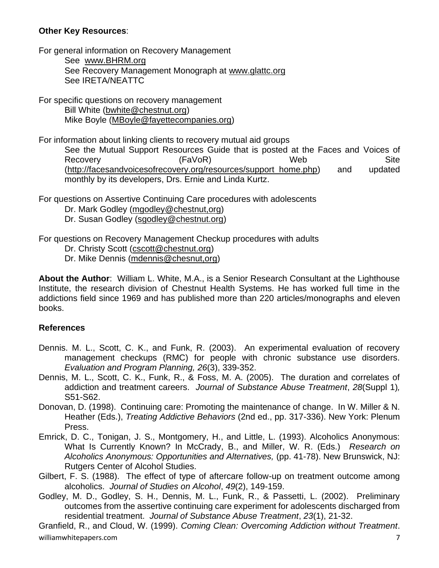#### **Other Key Resources**:

For general information on Recovery Management See [www.BHRM.org](http://www.bhrm.org/) See Recovery Management Monograph at [www.glattc.org](http://www.glattc.org/) See IRETA/NEATTC

For specific questions on recovery management Bill White [\(bwhite@chestnut.org\)](mailto:bwhite@chestnut.org) Mike Boyle [\(MBoyle@fayettecompanies.org\)](mailto:Mboyle@fayettecompanies.org)

For information about linking clients to recovery mutual aid groups See the Mutual Support Resources Guide that is posted at the Faces and Voices of Recovery (FaVoR) Web Site [\(http://facesandvoicesofrecovery.org/resources/support\\_home.php\)](http://facesandvoicesofrecovery.org/resources/support_home.php) and updated monthly by its developers, Drs. Ernie and Linda Kurtz.

For questions on Assertive Continuing Care procedures with adolescents

Dr. Mark Godley [\(mgodley@chestnut,org\)](mailto:mgodley@chestnut,org)

Dr. Susan Godley [\(sgodley@chestnut.org\)](mailto:sgodley@chestnut.org)

For questions on Recovery Management Checkup procedures with adults

Dr. Christy Scott [\(cscott@chestnut.org\)](mailto:cscott@chestnut.org)

Dr. Mike Dennis [\(mdennis@chesnut,org\)](mailto:mdennis@chesnut,org)

**About the Author**: William L. White, M.A., is a Senior Research Consultant at the Lighthouse Institute, the research division of Chestnut Health Systems. He has worked full time in the addictions field since 1969 and has published more than 220 articles/monographs and eleven books.

#### **References**

- Dennis. M. L., Scott, C. K., and Funk, R. (2003). An experimental evaluation of recovery management checkups (RMC) for people with chronic substance use disorders. *Evaluation and Program Planning, 26*(3), 339-352.
- Dennis, M. L., Scott, C. K., Funk, R., & Foss, M. A. (2005). The duration and correlates of addiction and treatment careers. *Journal of Substance Abuse Treatment*, *28*(Suppl 1)*,* S51-S62.
- Donovan, D. (1998). Continuing care: Promoting the maintenance of change. In W. Miller & N. Heather (Eds.), *Treating Addictive Behaviors* (2nd ed., pp. 317-336). New York: Plenum Press.
- Emrick, D. C., Tonigan, J. S., Montgomery, H., and Little, L. (1993). Alcoholics Anonymous: What Is Currently Known? In McCrady, B., and Miller, W. R. (Eds.) *Research on Alcoholics Anonymous: Opportunities and Alternatives,* (pp. 41-78). New Brunswick, NJ: Rutgers Center of Alcohol Studies.
- Gilbert, F. S. (1988). The effect of type of aftercare follow-up on treatment outcome among alcoholics. *Journal of Studies on Alcohol*, *49*(2), 149-159.
- Godley, M. D., Godley, S. H., Dennis, M. L., Funk, R., & Passetti, L. (2002). Preliminary outcomes from the assertive continuing care experiment for adolescents discharged from residential treatment. *Journal of Substance Abuse Treatment*, *23*(1), 21-32.

williamwhitepapers.com 7 Granfield, R., and Cloud, W. (1999). *Coming Clean: Overcoming Addiction without Treatment*.